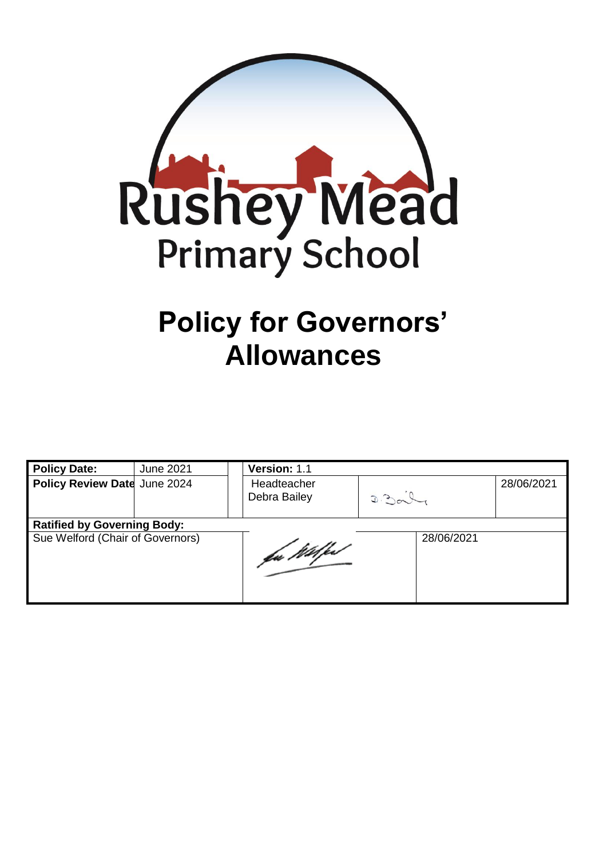

# **Policy for Governors' Allowances**

| <b>Policy Date:</b>                | June 2021 | Version: 1.1                |            |            |  |  |  |
|------------------------------------|-----------|-----------------------------|------------|------------|--|--|--|
| Policy Review Date June 2024       |           | Headteacher<br>Debra Bailey | D.201      | 28/06/2021 |  |  |  |
| <b>Ratified by Governing Body:</b> |           |                             |            |            |  |  |  |
| Sue Welford (Chair of Governors)   |           | fa Wilfest                  | 28/06/2021 |            |  |  |  |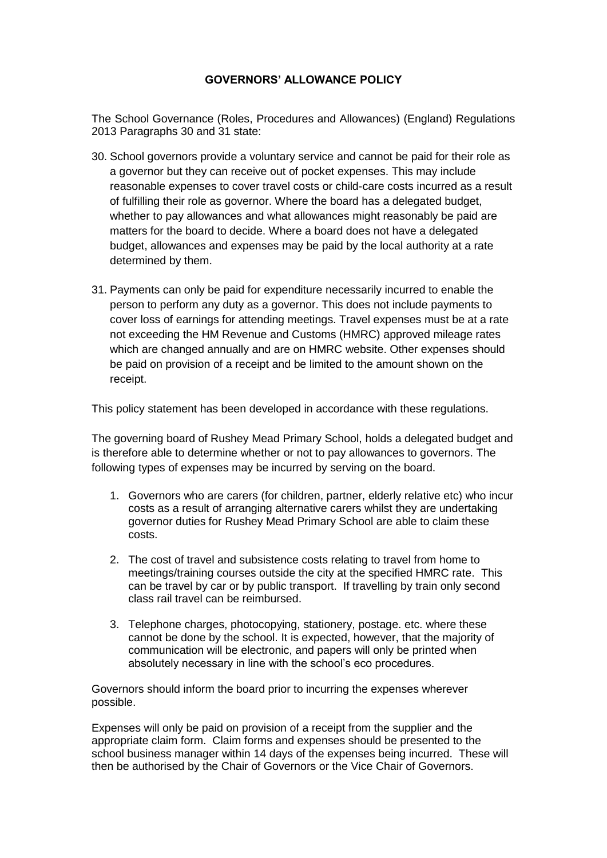#### **GOVERNORS' ALLOWANCE POLICY**

The School Governance (Roles, Procedures and Allowances) (England) Regulations 2013 Paragraphs 30 and 31 state:

- 30. School governors provide a voluntary service and cannot be paid for their role as a governor but they can receive out of pocket expenses. This may include reasonable expenses to cover travel costs or child-care costs incurred as a result of fulfilling their role as governor. Where the board has a delegated budget, whether to pay allowances and what allowances might reasonably be paid are matters for the board to decide. Where a board does not have a delegated budget, allowances and expenses may be paid by the local authority at a rate determined by them.
- 31. Payments can only be paid for expenditure necessarily incurred to enable the person to perform any duty as a governor. This does not include payments to cover loss of earnings for attending meetings. Travel expenses must be at a rate not exceeding the HM Revenue and Customs (HMRC) approved mileage rates which are changed annually and are on HMRC website. Other expenses should be paid on provision of a receipt and be limited to the amount shown on the receipt.

This policy statement has been developed in accordance with these regulations.

The governing board of Rushey Mead Primary School, holds a delegated budget and is therefore able to determine whether or not to pay allowances to governors. The following types of expenses may be incurred by serving on the board.

- 1. Governors who are carers (for children, partner, elderly relative etc) who incur costs as a result of arranging alternative carers whilst they are undertaking governor duties for Rushey Mead Primary School are able to claim these costs.
- 2. The cost of travel and subsistence costs relating to travel from home to meetings/training courses outside the city at the specified HMRC rate. This can be travel by car or by public transport. If travelling by train only second class rail travel can be reimbursed.
- 3. Telephone charges, photocopying, stationery, postage. etc. where these cannot be done by the school. It is expected, however, that the majority of communication will be electronic, and papers will only be printed when absolutely necessary in line with the school's eco procedures.

Governors should inform the board prior to incurring the expenses wherever possible.

Expenses will only be paid on provision of a receipt from the supplier and the appropriate claim form. Claim forms and expenses should be presented to the school business manager within 14 days of the expenses being incurred. These will then be authorised by the Chair of Governors or the Vice Chair of Governors.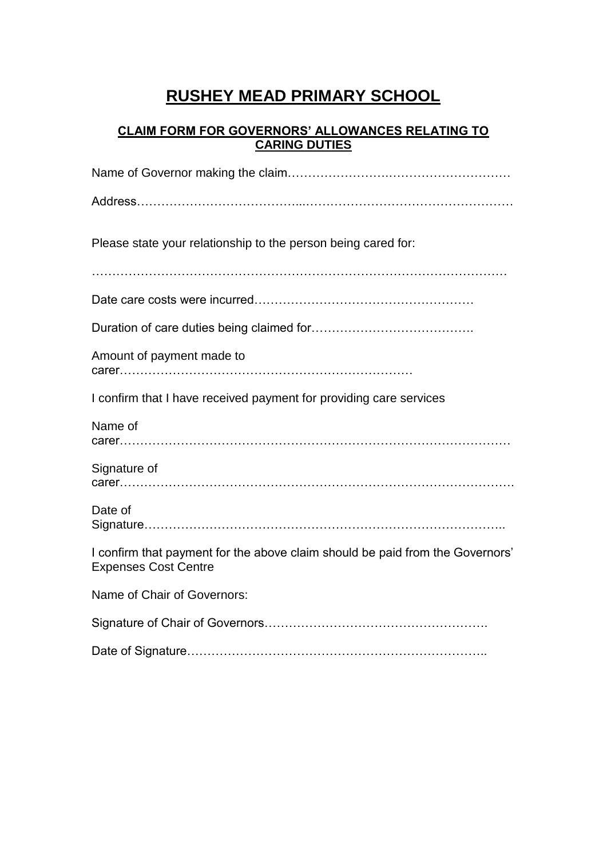## **RUSHEY MEAD PRIMARY SCHOOL**

#### **CLAIM FORM FOR GOVERNORS' ALLOWANCES RELATING TO CARING DUTIES**

| Please state your relationship to the person being cared for:                                                |
|--------------------------------------------------------------------------------------------------------------|
|                                                                                                              |
|                                                                                                              |
|                                                                                                              |
| Amount of payment made to                                                                                    |
| I confirm that I have received payment for providing care services                                           |
| Name of                                                                                                      |
| Signature of                                                                                                 |
| Date of                                                                                                      |
| I confirm that payment for the above claim should be paid from the Governors'<br><b>Expenses Cost Centre</b> |
| Name of Chair of Governors:                                                                                  |
|                                                                                                              |
|                                                                                                              |